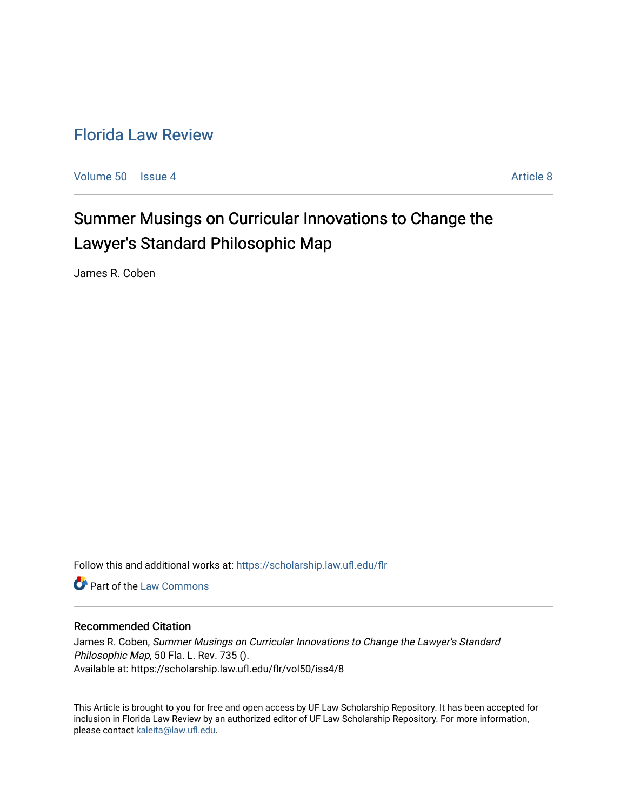# [Florida Law Review](https://scholarship.law.ufl.edu/flr)

[Volume 50](https://scholarship.law.ufl.edu/flr/vol50) | [Issue 4](https://scholarship.law.ufl.edu/flr/vol50/iss4) Article 8

# Summer Musings on Curricular Innovations to Change the Lawyer's Standard Philosophic Map

James R. Coben

Follow this and additional works at: [https://scholarship.law.ufl.edu/flr](https://scholarship.law.ufl.edu/flr?utm_source=scholarship.law.ufl.edu%2Fflr%2Fvol50%2Fiss4%2F8&utm_medium=PDF&utm_campaign=PDFCoverPages)

Part of the [Law Commons](http://network.bepress.com/hgg/discipline/578?utm_source=scholarship.law.ufl.edu%2Fflr%2Fvol50%2Fiss4%2F8&utm_medium=PDF&utm_campaign=PDFCoverPages)

## Recommended Citation

James R. Coben, Summer Musings on Curricular Innovations to Change the Lawyer's Standard Philosophic Map, 50 Fla. L. Rev. 735 (). Available at: https://scholarship.law.ufl.edu/flr/vol50/iss4/8

This Article is brought to you for free and open access by UF Law Scholarship Repository. It has been accepted for inclusion in Florida Law Review by an authorized editor of UF Law Scholarship Repository. For more information, please contact [kaleita@law.ufl.edu](mailto:kaleita@law.ufl.edu).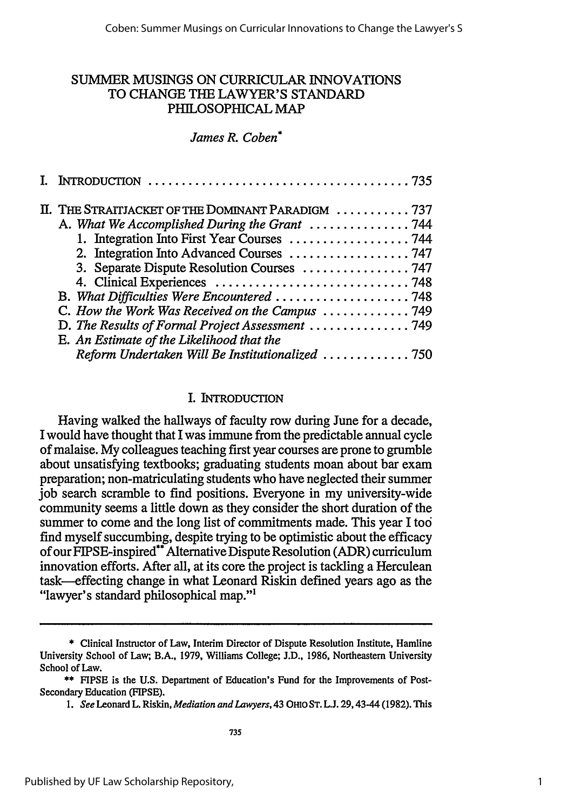# SUMMER MUSINGS ON CURRICULAR INNOVATIONS TO CHANGE THE LAWYER'S STANDARD PHILOSOPHICAL MAP

## *James R. Coben\**

|  | II. THE STRAITJACKET OF THE DOMINANT PARADIGM 737 |
|--|---------------------------------------------------|
|  |                                                   |
|  |                                                   |
|  | 2. Integration Into Advanced Courses 747          |
|  | 3. Separate Dispute Resolution Courses  747       |
|  |                                                   |
|  | B. What Difficulties Were Encountered  748        |
|  | C. How the Work Was Received on the Campus  749   |
|  |                                                   |
|  | E. An Estimate of the Likelihood that the         |
|  | Reform Undertaken Will Be Institutionalized 750   |

## I. INTRODUCTION

Having walked the hallways of faculty row during June for a decade, I would have thought that I was immune from the predictable annual cycle of malaise. My colleagues teaching first year courses are prone to grumble about unsatisfying textbooks; graduating students moan about bar exam preparation; non-matriculating students who have neglected their summer job search scramble to find positions. Everyone in my university-wide community seems a little down as they consider the short duration of the summer to come and the long list of commitments made. This year I too find myself succumbing, despite trying to be optimistic about the efficacy of our FIPSE-inspired\*\* Alternative Dispute Resolution (ADR) curriculum innovation efforts. After all, at its core the project is tackling a Herculean task-effecting change in what Leonard Riskin defined years ago as the "lawyer's standard philosophical map."<sup>1</sup>

<sup>\*</sup> Clinical Instructor of Law, Interim Director of Dispute Resolution Institute, Hamline University School of Law; B.A., 1979, Williams College; **J.D.,** 1986, Northeastern University School of Law.

<sup>\*\*</sup> FIPSE is the U.S. Department of Education's Fund for the Improvements of Post-Secondary Education (FIPSE).

*<sup>1.</sup> See* Leonard L. Riskin, *Mediation and Lawyers,43* **OHIO ST. L.J.** 29,43-44 (1982). **This**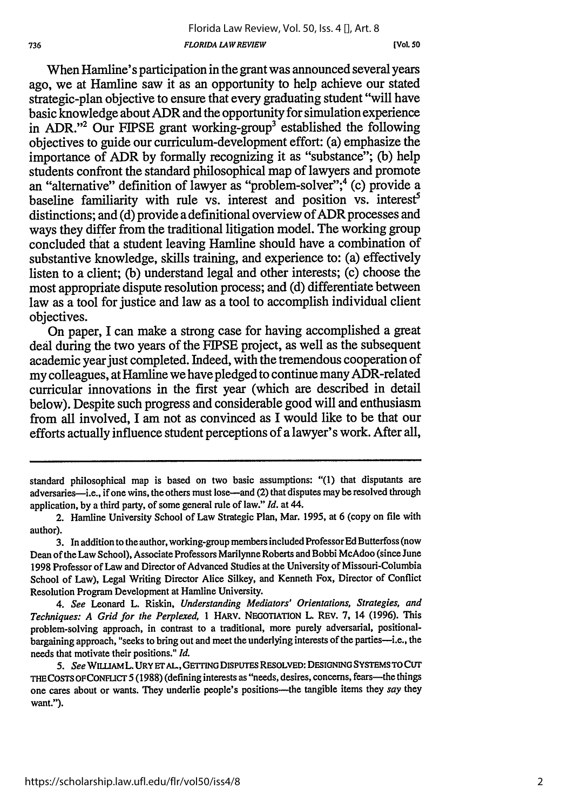**(Vol. so**

When Hamline's participation in the grant was announced several years ago, we at Hamline saw it as an opportunity to help achieve our stated strategic-plan objective to ensure that every graduating student "will have basic knowledge about ADR and the opportunity for simulation experience in ADR."<sup>2</sup> Our FIPSE grant working-group<sup>3</sup> established the following objectives to guide our curriculum-development effort: (a) emphasize the importance of ADR by formally recognizing it as "substance"; (b) help students confront the standard philosophical map of lawyers and promote an "alternative" definition of lawyer as "problem-solver";4 (c) provide a baseline familiarity with rule vs. interest and position vs. interest<sup>5</sup> distinctions; and (d) provide a definitional overview of ADR processes and ways they differ from the traditional litigation model. The working group concluded that a student leaving Hamline should have a combination of substantive knowledge, skills training, and experience to: (a) effectively listen to a client; (b) understand legal and other interests; (c) choose the most appropriate dispute resolution process; and (d) differentiate between law as a tool for justice and law as a tool to accomplish individual client objectives.

On paper, I can make a strong case for having accomplished a great deal during the two years of the FIPSE project, as well as the subsequent academic year just completed. Indeed, with the tremendous cooperation of my colleagues, at Hamline we have pledged to continue many ADR-related curricular innovations in the first year (which are described in detail below). Despite such progress and considerable good will and enthusiasm from all involved, I am not as convinced as I would like to be that our efforts actually influence student perceptions of a lawyer's work. After all,

*4. See* Leonard L. Riskin, *Understanding Mediators' Orientations, Strategies, and Techniques: A Grid for the Perplexed, I* HARV. NEGOTIATION **L.** REV. 7, 14 (1996). This problem-solving approach, in contrast to a traditional, more purely adversarial, positionalbargaining approach, "seeks to bring out and meet the underlying interests of the parties-i.e., the needs that motivate their positions." *Id.*

*5. See WILIAML.* **URY ETAL,** *GETrINGDISPUTES* **RESOLVED: DESIGNING** *SYSTEMSTOCUT* **THE COSTS OFCONFUCr 5** (1988) (defining interests as "needs, desires, concerns, fears-the things one cares about or wants. They underlie people's positions--- the tangible items they say they want.").

standard philosophical map is based on two basic assumptions: "(1) that disputants are adversaries-i.e., if one wins, the others must lose-and (2) that disputes may be resolved through application, by a third party, of some general rule of law." *Id.* at 44.

<sup>2.</sup> Hamline University School of Law Strategic Plan, Mar. 1995, at 6 (copy on file with author).

<sup>3.</sup> In addition to the author, working-group members included Professor Ed Butterfoss (now Dean of the Law School), Associate Professors Marilynne Roberts and Bobbi McAdoo (since June 1998 Professor of Law and Director of Advanced Studies at the University of Missouri-Columbia School of Law), Legal Writing Director Alice Silkey, and Kenneth Fox, Director of Conflict Resolution Program Development at Hamline University.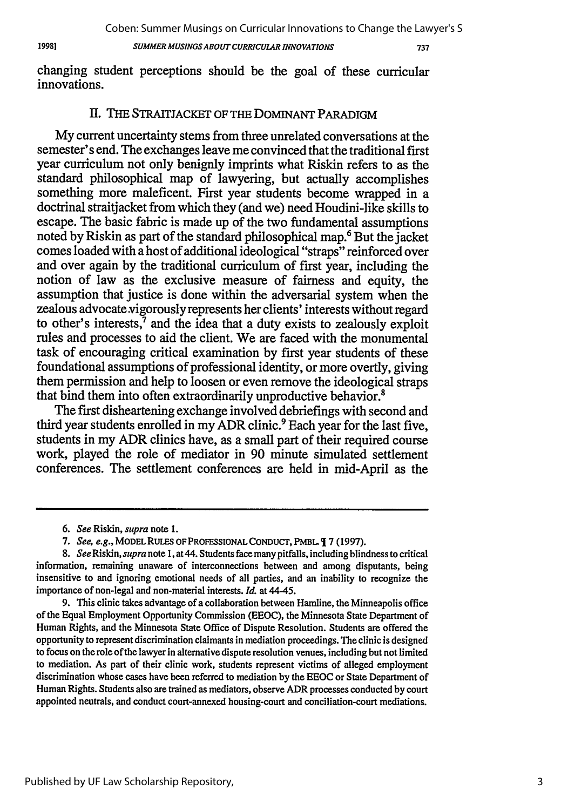19981

Coben: Summer Musings on Curricular Innovations to Change the Lawyer's S

*SUMMER MUSINGS ABOUT CURRICULAR INNOVATIONS*

737

changing student perceptions should be the goal of these curricular innovations.

## II. THE STRAITJACKET OF THE DoMINANT PARADIGM

My current uncertainty stems from three unrelated conversations at the semester' s end. The exchanges leave me convinced that the traditional first year curriculum not only benignly imprints what Riskin refers to as the standard philosophical map of lawyering, but actually accomplishes something more maleficent. First year students become wrapped in a doctrinal straitjacket from which they (and we) need Houdini-like skills to escape. The basic fabric is made up of the two fundamental assumptions noted by Riskin as part of the standard philosophical map.<sup>6</sup> But the jacket comes loaded with a host of additional ideological "straps" reinforced over and over again by the traditional curriculum of first year, including the notion of law as the exclusive measure of fairness and equity, the assumption that justice is done within the adversarial system when the zealous advocate vigorously represents her clients' interests without regard to other's interests, $\bar{7}$  and the idea that a duty exists to zealously exploit rules and processes to aid the client. We are faced with the monumental task of encouraging critical examination by first year students of these foundational assumptions of professional identity, or more overtly, giving them permission and help to loosen or even remove the ideological straps that bind them into often extraordinarily unproductive behavior.<sup>8</sup>

The first disheartening exchange involved debriefings with second and third year students enrolled in my ADR clinic.<sup>9</sup> Each year for the last five, students in my ADR clinics have, as a small part of their required course work, played the role of mediator in 90 minute simulated settlement conferences. The settlement conferences are held in mid-April as the

*<sup>6.</sup> See* Riskin, *supra* note 1.

*<sup>7.</sup> See, e.g.,* MODEL RULES OF PROFESSIONAL CONDUCr, PMBL 7 (1997).

*<sup>8.</sup> See Riskin, supra* note **1,** at44. Students face many pitfalls, including blindness to critical information, remaining unaware of interconnections between and among disputants, being insensitive to and ignoring emotional needs of all parties, and an inability to recognize the importance of non-legal and non-material interests. *Id.* at 44-45.

<sup>9.</sup> This clinic takes advantage of a collaboration between Hamline, the Minneapolis office of the Equal Employment Opportunity Commission (EEOC), the Minnesota State Department of Human Rights, and the Minnesota State Office of Dispute Resolution. Students are offered the opportunity to represent discrimination claimants in mediation proceedings. The clinic is designed to focus on the role of the lawyer in alternative dispute resolution venues, including but not limited to mediation. As part of their clinic work, students represent victims of alleged employment discrimination whose cases have been referred to mediation by the EEOC or State Department of Human Rights. Students also are trained as mediators, observe ADR processes conducted by court appointed neutrals, and conduct court-annexed housing-court and conciliation-court mediations.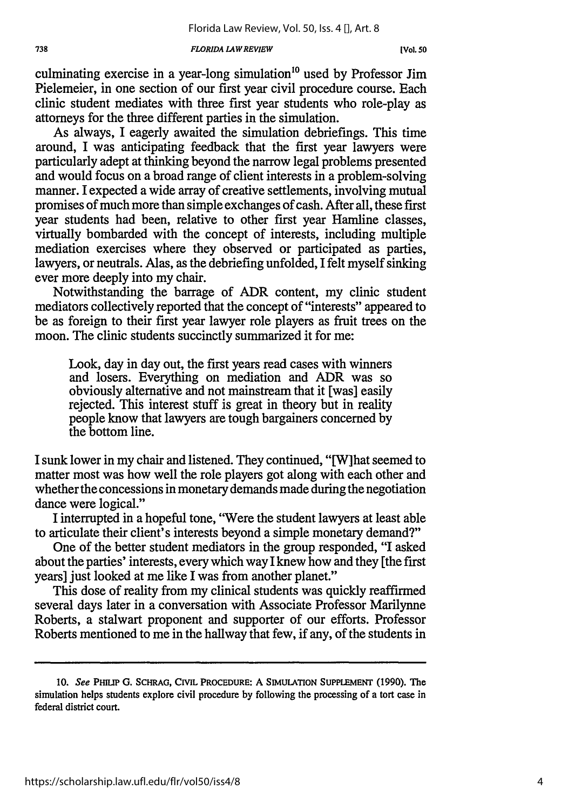#### *FLORIDA LAWREVIEW*

culminating exercise in a year-long simulation<sup>10</sup> used by Professor Jim Pielemeier, in one section of our first year civil procedure course. Each clinic student mediates with three first year students who role-play as attorneys for the three different parties in the simulation.

As always, I eagerly awaited the simulation debriefings. This time around, I was anticipating feedback that the first year lawyers were particularly adept at thinking beyond the narrow legal problems presented and would focus on a broad range of client interests in a problem-solving manner. I expected a wide array of creative settlements, involving mutual promises of much more than simple exchanges of cash. After all, these first year students had been, relative to other first year Hamline classes, virtually bombarded with the concept of interests, including multiple mediation exercises where they observed or participated as parties, lawyers, or neutrals. Alas, as the debriefing unfolded, I felt myself sinking ever more deeply into my chair.

Notwithstanding the barrage of ADR content, my clinic student mediators collectively reported that the concept of "interests" appeared to be as foreign to their first year lawyer role players as fruit trees on the moon. The clinic students succinctly summarized it for me:

Look, day in day out, the first years read cases with winners and losers. Everything on mediation and ADR was so obviously alternative and not mainstream that it [was] easily rejected. This interest stuff is great in theory but in reality people know that lawyers are tough bargainers concerned by the bottom line.

I sunk lower in my chair and listened. They continued, "[W]hat seemed to matter most was how well the role players got along with each other and whether the concessions in monetary demands made during the negotiation dance were logical."

I interrupted in a hopeful tone, "Were the student lawyers at least able to articulate their client's interests beyond a simple monetary demand?"

One of the better student mediators in the group responded, "I asked about the parties' interests, every which way I knew how and they [the first years] just looked at me like I was from another planet."

This dose of reality from my clinical students was quickly reaffirmed several days later in a conversation with Associate Professor Marilynne Roberts, a stalwart proponent and supporter of our efforts. Professor Roberts mentioned to me in the hallway that few, if any, of the students in

**<sup>10.</sup>** See **PHIuP G. SCHRAG, CIVIL PROCEDURE:** A **SIMULATION SUPPLEMENT (1990). The** simulation helps students explore civil procedure **by** following the processing of a tort case in federal district court.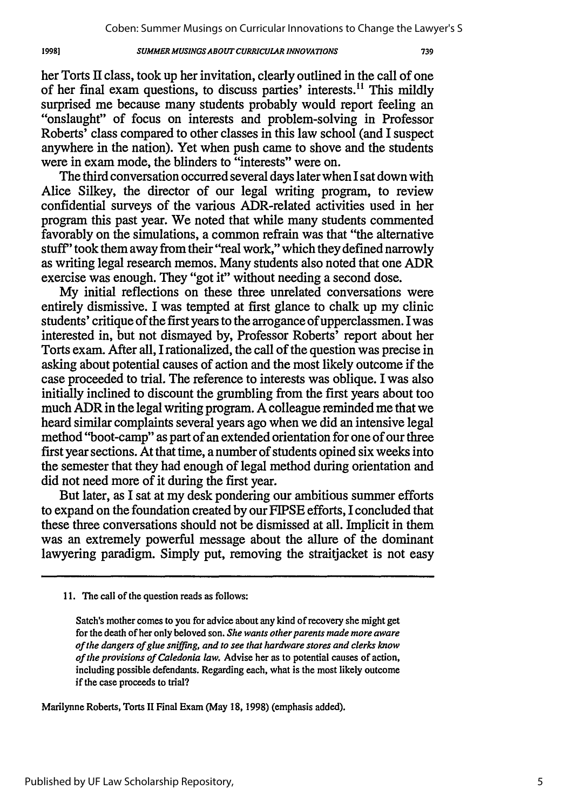#### *SUMMER MUSINGSABOUT CURRICULAR INNOVATIONS*

her Torts II class, took up her invitation, clearly outlined in the call of one of her final exam questions, to discuss parties' interests.<sup>11</sup> This mildly surprised me because many students probably would report feeling an "onslaught" of focus on interests and problem-solving in Professor Roberts' class compared to other classes in this law school (and I suspect anywhere in the nation). Yet when push came to shove and the students were in exam mode, the blinders to "interests" were on.

The third conversation occurred several days later when I sat down with Alice Silkey, the director of our legal writing program, to review confidential surveys of the various ADR-related activities used in her program this past year. We noted that while many students commented favorably on the simulations, a common refrain was that "the alternative stuff' took them away from their "real work," which they defined narrowly as writing legal research memos. Many students also noted that one ADR exercise was enough. They "got it" without needing a second dose.

My initial reflections on these three unrelated conversations were entirely dismissive. I was tempted at first glance to chalk up my clinic students' critique of the first years to the arrogance of upperclassmen. I was interested in, but not dismayed by, Professor Roberts' report about her Torts exam. After all, I rationalized, the call of the question was precise in asking about potential causes of action and the most likely outcome if the case proceeded to trial. The reference to interests was oblique. I was also initially inclined to discount the grumbling from the first years about too much ADR in the legal writing program. A colleague reminded me that we heard similar complaints several years ago when we did an intensive legal method "boot-camp" as part of an extended orientation for one of our three first year sections. At that time, a number of students opined six weeks into the semester that they had enough of legal method during orientation and did not need more of it during the first year.

But later, as I sat at my desk pondering our ambitious summer efforts to expand on the foundation created by our FIPSE efforts, I concluded that these three conversations should not be dismissed at all. Implicit in them was an extremely powerful message about the allure of the dominant lawyering paradigm. Simply put, removing the straitjacket is not easy

Marilynne Roberts, Torts II Final Exam (May **18,** 1998) (emphasis added).

**<sup>11.</sup>** The call of the question reads as follows:

Satch's mother comes to you for advice about any kind of recovery she might get for the death of her only beloved son. *She wants other parents made more aware of the dangers of glue sniffing, and to see that hardware stores and clerks know of the provisions of Caledonia law.* Advise her as to potential causes of action, including possible defendants. Regarding each, what is the most likely outcome if the case proceeds to trial?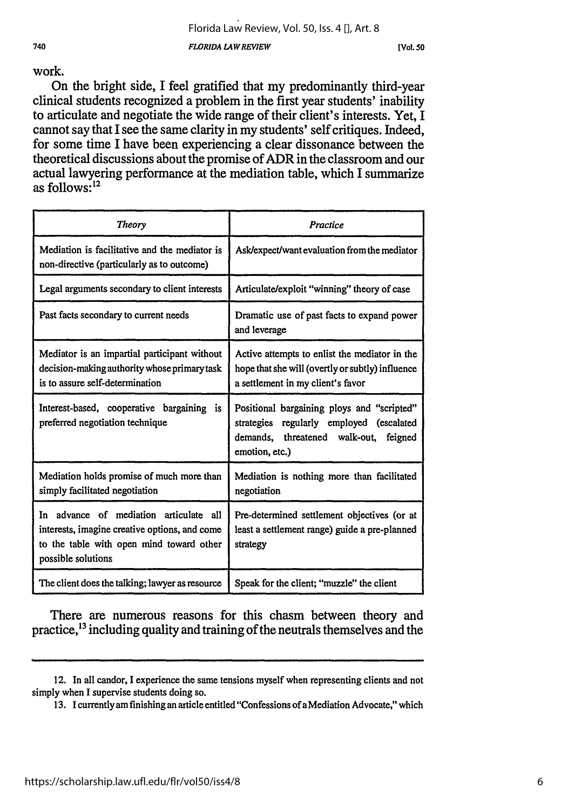**[Vol. so**

740

#### work.

On the bright side, I feel gratified that my predominantly third-year clinical students recognized a problem in the first year students' inability to articulate and negotiate the wide range of their client's interests. Yet, I cannot say that I see the same clarity in my students' self critiques. Indeed, for some time I have been experiencing a clear dissonance between the theoretical discussions about the promise of ADR in the classroom and our actual lawyering performance at the mediation table, which I summarize as follows:12

| <b>Theory</b>                                                                                                                                             | Practice                                                                                                                                                |  |
|-----------------------------------------------------------------------------------------------------------------------------------------------------------|---------------------------------------------------------------------------------------------------------------------------------------------------------|--|
| Mediation is facilitative and the mediator is<br>non-directive (particularly as to outcome)                                                               | Ask/expect/want evaluation from the mediator                                                                                                            |  |
| Legal arguments secondary to client interests                                                                                                             | Articulate/exploit "winning" theory of case                                                                                                             |  |
| Past facts secondary to current needs                                                                                                                     | Dramatic use of past facts to expand power<br>and leverage                                                                                              |  |
| Mediator is an impartial participant without<br>decision-making authority whose primary task<br>is to assure self-determination                           | Active attempts to enlist the mediator in the<br>hope that she will (overtly or subtly) influence<br>a settlement in my client's favor                  |  |
| Interest-based, cooperative bargaining is<br>preferred negotiation technique                                                                              | Positional bargaining ploys and "scripted"<br>strategies regularly employed<br>(escalated<br>demands, threatened walk-out,<br>feigned<br>emotion, etc.) |  |
| Mediation holds promise of much more than<br>simply facilitated negotiation                                                                               | Mediation is nothing more than facilitated<br>negotiation                                                                                               |  |
| In advance of mediation articulate all<br>interests, imagine creative options, and come<br>to the table with open mind toward other<br>possible solutions | Pre-determined settlement objectives (or at<br>least a settlement range) guide a pre-planned<br>strategy                                                |  |
| The client does the talking; lawyer as resource                                                                                                           | Speak for the client; "muzzle" the client                                                                                                               |  |

There are numerous reasons for this chasm between theory and practice,<sup>13</sup> including quality and training of the neutrals themselves and the

<sup>12.</sup> In all candor, I experience the same tensions myself when representing clients and not simply when I supervise students doing so.

<sup>13.</sup> I currently am finishing an article entitled "Confessions of a Mediation Advocate," which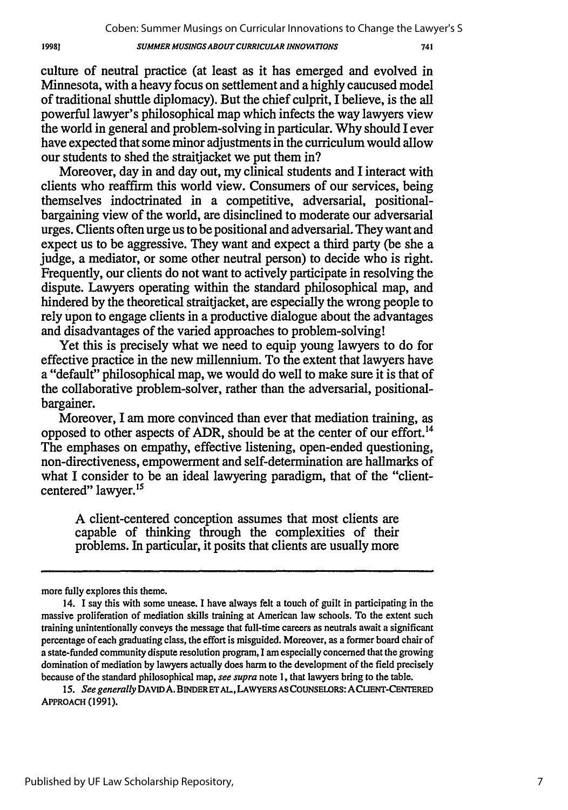#### *SUMMER MUSINGSABOUT CURRICULAR INNOVATIONS*

741

culture of neutral practice (at least as it has emerged and evolved in Minnesota, with a heavy focus on settlement and a highly caucused model of traditional shuttle diplomacy). But the chief culprit, I believe, is the all powerful lawyer's philosophical map which infects the way lawyers view the world in general and problem-solving in particular. Why should I ever have expected that some minor adjustments in the curriculum would allow our students to shed the straitjacket we put them in?

Moreover, day in and day out, my clinical students and I interact with clients who reaffinm this world view. Consumers of our services, being themselves indoctrinated in a competitive, adversarial, positionalbargaining view of the world, are disinclined to moderate our adversarial urges. Clients often urge us to be positional and adversarial. They want and expect us to be aggressive. They want and expect a third party (be she a judge, a mediator, or some other neutral person) to decide who is right. Frequently, our clients do not want to actively participate in resolving the dispute. Lawyers operating within the standard philosophical map, and hindered by the theoretical straitjacket, are especially the wrong people to rely upon to engage clients in a productive dialogue about the advantages and disadvantages of the varied approaches to problem-solving!

Yet this is precisely what we need to equip young lawyers to do for effective practice in the new millennium. To the extent that lawyers have a "default" philosophical map, we would do well to make sure it is that of the collaborative problem-solver, rather than the adversarial, positionalbargainer.

Moreover, I am more convinced than ever that mediation training, as opposed to other aspects of ADR, should be at the center of our effort.<sup>14</sup> The emphases on empathy, effective listening, open-ended questioning, non-directiveness, empowerment and self-determination are hallmarks of what I consider to be an ideal lawyering paradigm, that of the "clientcentered" lawyer.<sup>15</sup>

A client-centered conception assumes that most clients are capable of thinking through the complexities of their problems. In particular, it posits that clients are usually more

more fully explores this theme.

<sup>14.</sup> I say this with some unease. I have always felt a touch of guilt in participating in the massive proliferation of mediation skills training at American law schools. To the extent such training unintentionally conveys the message that full-time careers as neutrals await a significant percentage of each graduating class, the effort is misguided. Moreover, as a former board chair of a state-funded community dispute resolution program, I am especially concerned that the growing domination of mediation by lawyers actually does harm to the development of the field precisely because of the standard philosophical map, see *supra* note **1,** that lawyers bring to the table.

*<sup>15.</sup> See generally* **DAVID A. BINDERET AL.,LAWYERS AS** COUNSELORS: **ACLIENT-CENTERED** APPROACH **(1991).**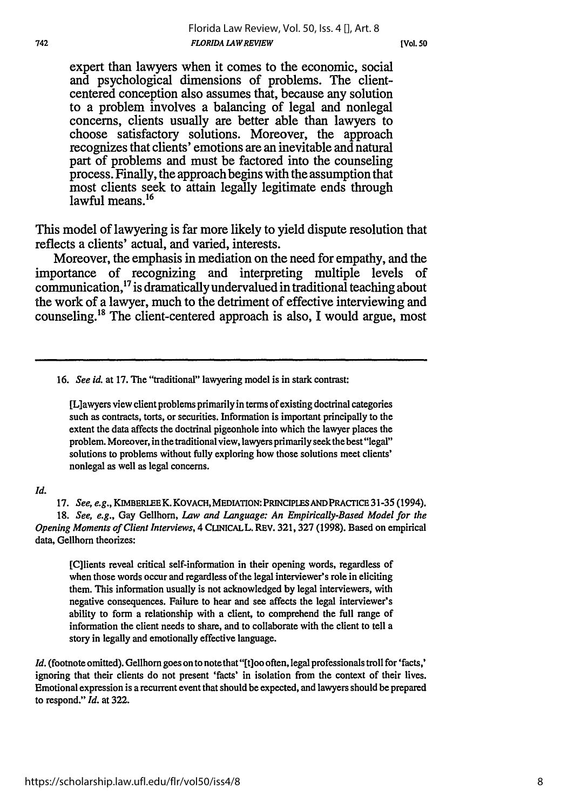expert than lawyers when it comes to the economic, social and psychological dimensions of problems. The clientcentered conception also assumes that, because any solution to a problem involves a balancing of legal and nonlegal concerns, clients usually are better able than lawyers to choose satisfactory solutions. Moreover, the approach recognizes that clients' emotions are an inevitable and natural part of problems and must be factored into the counseling process. Finally, the approach begins with the assumption that most clients seek to attain legally legitimate ends through lawful means $16$ 

This model of lawyering is far more likely to yield dispute resolution that reflects a clients' actual, and varied, interests.

Moreover, the emphasis in mediation on the need for empathy, and the importance of recognizing and interpreting multiple levels of communication,17 is dramatically undervalued in traditional teaching about the work of a lawyer, much to the detriment of effective interviewing and counseling." The client-centered approach is also, **I** would argue, most

16. *See id.* at 17. The "traditional" lawyering model is in stark contrast:

[L]awyers view client problems primarily in terms of existing doctrinal categories such as contracts, torts, or securities. Information is important principally to the extent the data affects the doctrinal pigeonhole into which the lawyer places the problem. Moreover, in the traditional view, lawyers primarily seek the best "legal" solutions to problems without fully exploring how those solutions meet clients' nonlegal as well as legal concerns.

#### *Id.*

**17.** *See, e.g.,* KIMBERLEE K. KOVACH, MEDIATION: PRINCIPLES ANDPRACTICE **31-35** (1994). *18. See, e.g.,* Gay Gellhorn, *Law and Language: An Empirically-Based Model for the Opening Moments of Client Interviews,* 4 CuNICALL. REV. **321,327 (1998).** Based on empirical data, Gellhorn theorizes:

[C]lients reveal critical self-information in their opening words, regardless of when those words occur and regardless of the legal interviewer's role in eliciting them. This information usually is not acknowledged **by** legal interviewers, with negative consequences. Failure to hear and see affects the legal interviewer's ability to form a relationship with a client, to comprehend the full range of information the client needs to share, and to collaborate with the client to tell a story in legally and emotionally effective language.

*Id.* (footnote omitted). Gellhorn goes on to note that "[t]oo often, legal professionals troll for 'facts,' ignoring that their clients do not present 'facts' in isolation from the context of their lives. Emotional expression is a recurrent event that should be expected, and lawyers should be prepared to respond." *Id.* at **322.**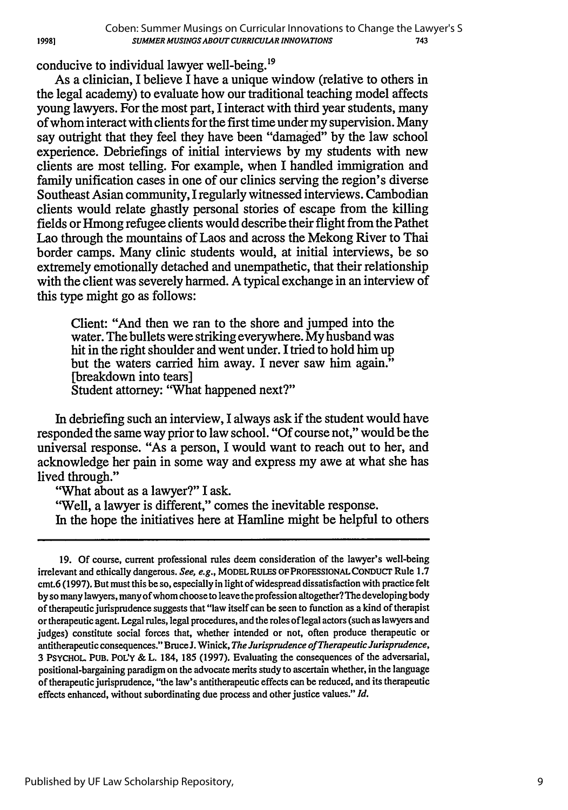conducive to individual lawyer well-being.<sup>19</sup>

As a clinician, I believe I have a unique window (relative to others in the legal academy) to evaluate how our traditional teaching model affects young lawyers. For the most part, I interact with third year students, many of whom interact with clients for the first time under my supervision. Many say outright that they feel they have been "damaged" by the law school experience. Debriefings of initial interviews by my students with new clients are most telling. For example, when I handled immigration and family unification cases in one of our clinics serving the region's diverse Southeast Asian community, I regularly witnessed interviews. Cambodian clients would relate ghastly personal stories of escape from the killing fields or Hmong refugee clients would describe their flight from the Pathet Lao through the mountains of Laos and across the Mekong River to Thai border camps. Many clinic students would, at initial interviews, be so extremely emotionally detached and unempathetic, that their relationship with the client was severely harmed. A typical exchange in an interview of this type might go as follows:

Client: "And then we ran to the shore and jumped into the water. The bullets were striking everywhere. My husband was hit in the right shoulder and went under. I tried to hold him up but the waters carried him away. I never saw him again." [breakdown into tears] Student attorney: "What happened next?"

In debriefing such an interview, I always ask if the student would have responded the same way prior to law school. "Of course not," would be the universal response. "As a person, I would want to reach out to her, and acknowledge her pain in some way and express my awe at what she has lived through."

"What about as a lawyer?" I ask.

'Well, a lawyer is different," comes the inevitable response. In the hope the initiatives here at Hamline might be helpful to others

<sup>19.</sup> Of course, current professional rules deem consideration of the lawyer's well-being irrelevant and ethically dangerous. *See, e.g.,* **MODELRULES** OFPROFESSIONALCONDUCT Rule **1.7** cmt.6 (1997). But must this be so, especially in light of widespread dissatisfaction with practice felt by so many lawyers, many of whom choose to leave the profession altogether?The developing body of therapeutic jurisprudence suggests that "law itself can be seen to function as a kind of therapist or therapeutic agent. Legal rules, legal procedures, and the roles of legal actors (such as lawyers and judges) constitute social forces that, whether intended or not, often produce therapeutic or antitherapeutic consequences." BruceJ. Winick, *The Jurisprudence of Therapeutic Jurisprudence,* 3 PSYCHOL **PUB. POL'Y** & L. 184, 185 (1997). Evaluating the consequences of the adversarial, positional-bargaining paradigm on the advocate merits study to ascertain whether, in the language of therapeutic jurisprudence, "the law's antitherapeutic effects can be reduced, and its therapeutic effects enhanced, without subordinating due process and other justice values." *Id.*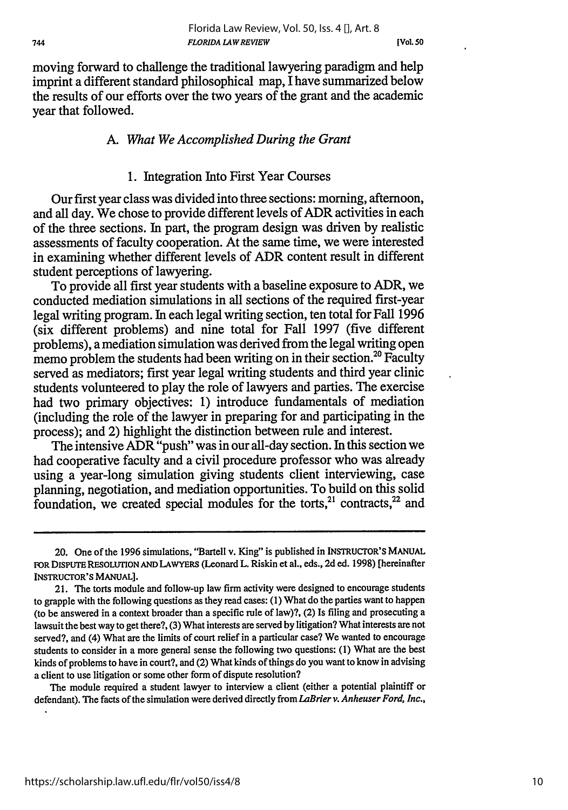**[Vol. 50**

moving forward to challenge the traditional lawyering paradigm and help imprint a different standard philosophical map, I have summarized below the results of our efforts over the two years of the grant and the academic year that followed.

#### A. *What We Accomplished During the Grant*

#### **1.** Integration Into First Year Courses

Our first year class was divided into three sections: morning, afternoon, and all day. We chose to provide different levels of ADR activities in each of the three sections. In part, the program design was driven by realistic assessments of faculty cooperation. At the same time, we were interested in examining whether different levels of ADR content result in different student perceptions of lawyering.

To provide all first year students with a baseline exposure to ADR, we conducted mediation simulations in all sections of the required first-year legal writing program. In each legal writing section, ten total for Fall 1996 (six different problems) and nine total for Fall 1997 (five different problems), a mediation simulation was derived from the legal writing open memo problem the students had been writing on in their section.<sup>20</sup> Faculty served as mediators; first year legal writing students and third year clinic students volunteered to play the role of lawyers and parties. The exercise had two primary objectives: 1) introduce fundamentals of mediation (including the role of the lawyer in preparing for and participating in the process); and 2) highlight the distinction between rule and interest.

The intensive ADR "push" was in our all-day section. In this section we had cooperative faculty and a civil procedure professor who was already using a year-long simulation giving students client interviewing, case planning, negotiation, and mediation opportunities. To build on this solid foundation, we created special modules for the torts, $21$  contracts, $22$  and

The module required a student lawyer to interview a client (either a potential plaintiff or defendant). The facts of the simulation were derived directly from *LaBrier v. Anheuser Ford, Inc.,*

<sup>20.</sup> One of the 1996 simulations, 'Bartell v. King" is published in INSTRUCTOR'S **MANUAL** FOR DISPUTE **RESOLUTIONAND** LAWYERS (Leonard L. Riskin et al., eds., **2d** ed. **1998)** [hereinafter INSTRUCTOR'S **MANUAL].**

<sup>21.</sup> The torts module and follow-up law firm activity were designed to encourage students to grapple with the following questions as they read cases: (1) What do the parties want to happen (to be answered in a context broader than a specific rule of law)?, (2) Is filing and prosecuting a lawsuit the best way to get there?, (3) What interests are served by litigation? What interests are not served?, and (4) what are the limits of court relief in a particular case? We wanted to encourage students to consider in a more general sense the following two questions: (1) What are the best kinds of problems to have in court?, and (2) what kinds of things do you want to know in advising a client to use litigation or some other form of dispute resolution?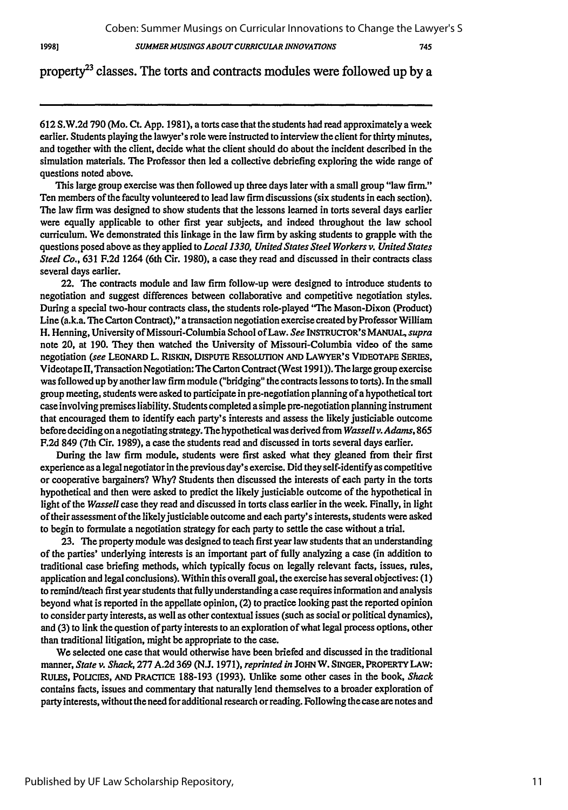*SUMMER MUSINGS ABOUT CURRICULAR INNOVATIONS*

## property<sup>23</sup> classes. The torts and contracts modules were followed up by a

612 S.W.2d 790 (Mo. Ct. App. 1981), a torts case that the students had read approximately a week earlier. Students playing the lawyer's role were instructed to interview the client for thirty minutes, and together with the client, decide what the client should do about the incident described in the simulation materials. The Professor then led a collective debriefing exploring the wide range of questions noted above.

This large group exercise was then followed up three days later with a small group "law firm." Ten members of the faculty volunteered to lead law firm discussions (six students in each section). The law firm was designed to show students that the lessons learned in torts several days earlier were equally applicable to other first year subjects, and indeed throughout the law school curriculum. We demonstrated this linkage in the law firm by asking students to grapple with the questions posed above as they applied to *Local 1330, United States Steel Workers v. United States Steel Co.,* 631 F.2d 1264 (6th Cir. 1980), a case they read and discussed in their contracts class several days earlier.

22. The contracts module and law firm follow-up were designed to introduce students to negotiation and suggest differences between collaborative and competitive negotiation styles. During a special two-hour contracts class, the students role-played "The Mason-Dixon (Product) Line (a.k.a. The Carton Contract)," a transaction negotiation exercise created by Professor William H. Henning, University of Missouri-Columbia School of Law. *See* **INSTRUCTOR'S MANUAL,** *supra* note 20, at 190. They then watched the University of Missouri-Columbia video of the same negotiation *(see* **LEONARD** L. **RISKIN, DISPUTE RESOLUTION AND LAWYER'S VIDEOTAPE SERIES,** Videotape II, Transaction Negotiation: The Carton Contract (West 1991)). The large group exercise was followed up **by** another law firm module ("bridging" the contracts lessons to torts). In the small group meeting, students were asked to participate in pre-negotiation planning of a hypothetical tort case involving premises liability. Students completed a simple pre-negotiation planning instrument that encouraged them to identify each party's interests and assess the likely justiciable outcome before deciding on a negotiating strategy. The hypothetical was derived from *Wassellv. Adams,* **865** F.2d 849 (7th Cir. 1989), a case the students read and discussed in torts several days earlier.

During the law firm module, students were first asked what they gleaned from their first experience as a legal negotiator in the previous day's exercise. Did they self-identify as competitive or cooperative bargainers? Why? Students then discussed the interests of each party in the torts hypothetical and then were asked to predict the likely justiciable outcome of the hypothetical in light of the *Wassell* case they read and discussed in torts class earlier in the week. Finally, in light of their assessment of the likelyjusticiable outcome and each party's interests, students were asked to begin to formulate a negotiation strategy for each party to settle the case without a trial.

23. The property module was designed to teach first year law students that an understanding of the parties' underlying interests is an important part of fully analyzing a case (in addition to traditional case briefing methods, which typically focus on legally relevant facts, issues, rules, application and legal conclusions). Within this overall goal, the exercise has several objectives: (1) to remind/teach first year students that fully understanding a case requires information and analysis beyond what is reported in the appellate opinion, (2) to practice looking past the reported opinion to consider party interests, as well as other contextual issues (such as social or political dynamics), and (3) to link the question of party interests to an exploration of what legal process options, other than traditional litigation, might be appropriate to the case.

We selected one case that would otherwise have been briefed and discussed in the traditional manner, *State v. Shack,* 277 A.2d 369 (N.J. 1971), *reprinted in* **JOHN** W. **SINGER, PROPERTY LAW:** RULES, PoucIEs, **AND** PRACTICE 188-193 (1993). Unlike some other cases in the book, *Shack* contains facts, issues and commentary that naturally lend themselves to a broader exploration of party interests, without the need for additional research or reading. Following the case are notes and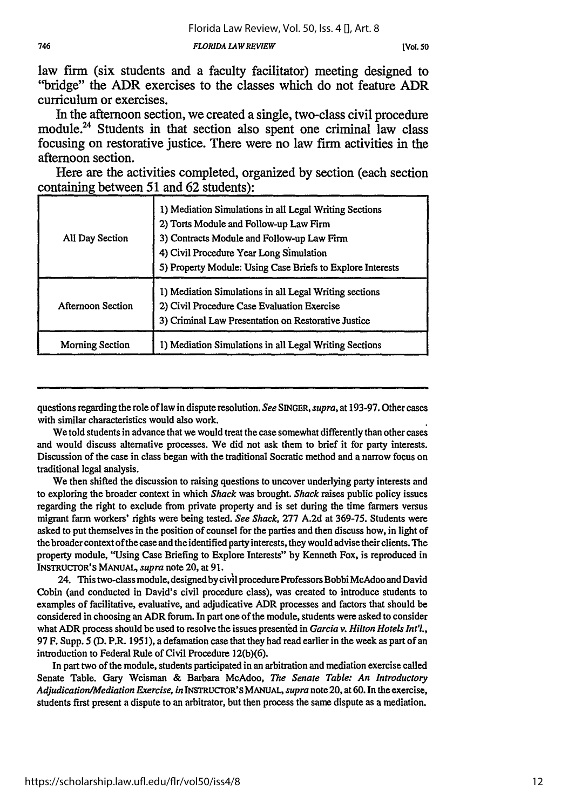law **frmn** (six students and a faculty facilitator) meeting designed to "bridge" the ADR exercises to the classes which do not feature ADR curriculum or exercises.

In the afternoon section, we created a single, two-class civil procedure module.<sup>24</sup> Students in that section also spent one criminal law class focusing on restorative justice. There were no law **firm** activities in the afternoon section.

Here are the activities completed, organized **by** section (each section containing between **51** and **62** students):

| All Day Section   | 1) Mediation Simulations in all Legal Writing Sections<br>2) Torts Module and Follow-up Law Firm<br>3) Contracts Module and Follow-up Law Firm<br>4) Civil Procedure Year Long Simulation<br>5) Property Module: Using Case Briefs to Explore Interests |
|-------------------|---------------------------------------------------------------------------------------------------------------------------------------------------------------------------------------------------------------------------------------------------------|
| Afternoon Section | 1) Mediation Simulations in all Legal Writing sections<br>2) Civil Procedure Case Evaluation Exercise<br>3) Criminal Law Presentation on Restorative Justice                                                                                            |
| Morning Section   | 1) Mediation Simulations in all Legal Writing Sections                                                                                                                                                                                                  |

questions regarding the role of law in dispute resolution. *See* SINGER, *supra,* at **193-97.** Other cases with similar characteristics would also work.

We told students in advance that we would treat the case somewhat differently than other cases and would discuss alternative processes. We did not ask them to brief it for party interests. Discussion of the case in class began with the traditional Socratic method and a narrow focus on traditional legal analysis.

We then shifted the discussion to raising questions to uncover underlying party interests and to exploring the broader context in which *Shack* was brought. *Shack* raises public policy issues regarding the right to exclude from private property and is set during the time farmers versus migrant farm workers' rights were being tested. *See Shack,* 277 A.2d at 369-75. Students were asked to put themselves in the position of counsel for the parties and then discuss how, in light of the broader context of the case and the identified party interests, they would advise their clients. The property module, "Using Case Briefing to Explore Interests" by Kenneth Fox, is reproduced in INSTRUCTOR'S MANUAL, *supra* note 20, at 91.

24. This two-class module, designed by civil procedure Professors Bobbi McAdoo and David Cobin (and conducted in David's civil procedure class), was created to introduce students to examples of facilitative, evaluative, and adjudicative ADR processes and factors that should be considered in choosing an ADR forum. In part one of the module, students were asked to consider what ADR process should be used to resolve the issues presented in *Garcia v. Hilton Hotels Int'l.,* 97 F. Supp. 5 (D. P.R. 1951), a defamation case that they had read earlier in the week as part of an introduction to Federal Rule of Civil Procedure 12(b)(6).

In part two of the module, students participated in an arbitration and mediation exercise called Senate Table. Gary Weisman & Barbara McAdoo, *The Senate Table: An Introductory Adjudication/Mediation Exercise, in* INSTRUCrOR'S MANUAL, *supra* note 20, at 60. In the exercise, students first present a dispute to an arbitrator, but then process the same dispute as a mediation.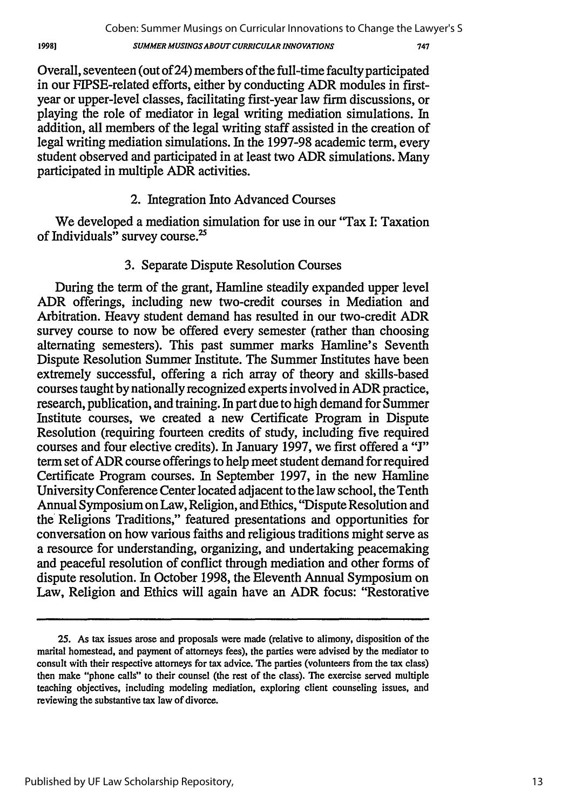747

Overall, seventeen (out of 24) members of the full-time faculty participated in our FIPSE-related efforts, either by conducting ADR modules in firstyear or upper-level classes, facilitating first-year law firm discussions, or playing the role of mediator in legal writing mediation simulations. In addition, all members of the legal writing staff assisted in the creation of legal writing mediation simulations. In the 1997-98 academic term, every student observed and participated in at least two ADR simulations. Many participated in multiple ADR activities.

# 2. Integration Into Advanced Courses

We developed a mediation simulation for use in our "Tax I: Taxation" of Individuals" survey course.'

# 3. Separate Dispute Resolution Courses

During the term of the grant, Hamline steadily expanded upper level ADR offerings, including new two-credit courses in Mediation and Arbitration. Heavy student demand has resulted in our two-credit ADR survey course to now be offered every semester (rather than choosing alternating semesters). This past summer marks Hamline's Seventh Dispute Resolution Summer Institute. The Summer Institutes have been extremely successful, offering a rich array of theory and skills-based courses taught by nationally recognized experts involved in ADR practice, research, publication, and training. In part due to high demand for Summer Institute courses, we created a new Certificate Program in Dispute Resolution (requiring fourteen credits of study, including five required courses and four elective credits). In January 1997, we first offered a **"J"** term set of ADR course offerings to help meet student demand for required Certificate Program courses. In September 1997, in the new Hamline University Conference Center located adjacent to the law school, the Tenth Annual Symposium on Law, Religion, and Ethics, "Dispute Resolution and the Religions Traditions," featured presentations and opportunities for conversation on how various faiths and religious traditions might serve as a resource for understanding, organizing, and undertaking peacemaking and peaceful resolution of conflict through mediation and other forms of dispute resolution. In October 1998, the Eleventh Annual Symposium on Law, Religion and Ethics will again have an ADR focus: "Restorative

**<sup>25.</sup>** As tax issues arose and proposals were made (relative to alimony, disposition of the marital homestead, and payment of attorneys fees), the parties were advised by the mediator to consult with their respective attorneys for tax advice. The parties (volunteers from the tax class) then make "phone calls" to their counsel (the rest of the class). The exercise served multiple teaching objectives, including modeling mediation, exploring client counseling issues, and reviewing the substantive tax law of divorce.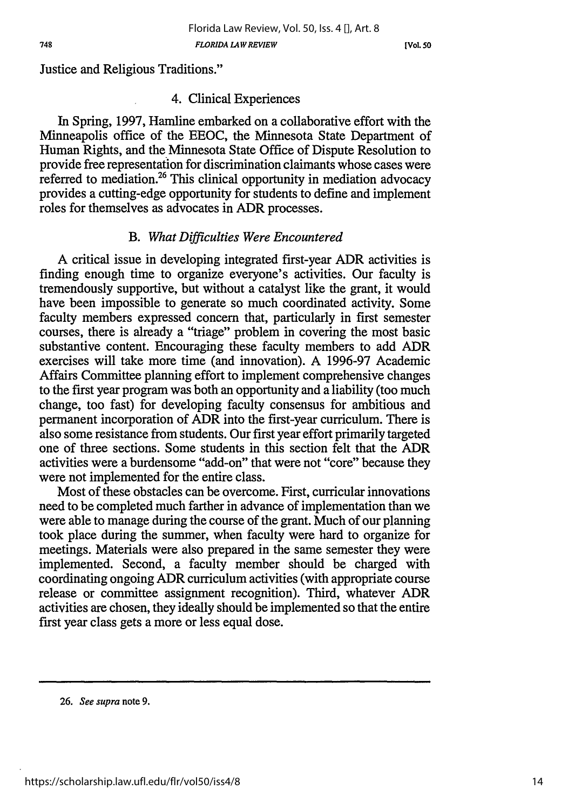Justice and Religious Traditions."

#### 4. Clinical Experiences

In Spring, 1997, Harnline embarked on a collaborative effort with the Minneapolis office of the EEOC, the Minnesota State Department of Human Rights, and the Minnesota State Office of Dispute Resolution to provide free representation for discrimination claimants whose cases were referred to mediation.26 This clinical opportunity in mediation advocacy provides a cutting-edge opportunity for students to define and implement roles for themselves as advocates in ADR processes.

## *B. What Difficulties Were Encountered*

**A** critical issue in developing integrated first-year ADR activities is finding enough time to organize everyone's activities. Our faculty is tremendously supportive, but without a catalyst like the grant, it would have been impossible to generate so much coordinated activity. Some faculty members expressed concern that, particularly in first semester courses, there is already a "triage" problem in covering the most basic substantive content. Encouraging these faculty members to add ADR exercises will take more time (and innovation). A 1996-97 Academic Affairs Committee planning effort to implement comprehensive changes to the first year program was both an opportunity and a liability (too much change, too fast) for developing faculty consensus for ambitious and permanent incorporation of ADR into the first-year curriculum. There is also some resistance from students. Our first year effort primarily targeted one of three sections. Some students in this section felt that the ADR activities were a burdensome "add-on" that were not "core" because they were not implemented for the entire class.

Most of these obstacles can be overcome. First, curricular innovations need to be completed much farther in advance of implementation than we were able to manage during the course of the grant. Much of our planning took place during the summer, when faculty were hard to organize for meetings. Materials were also prepared in the same semester they were implemented. Second, a faculty member should be charged with coordinating ongoing ADR curriculum activities (with appropriate course release or committee assignment recognition). Third, whatever ADR activities are chosen, they ideally should be implemented so that the entire first year class gets a more or less equal dose.

**<sup>26.</sup>** *See supra* **note 9.**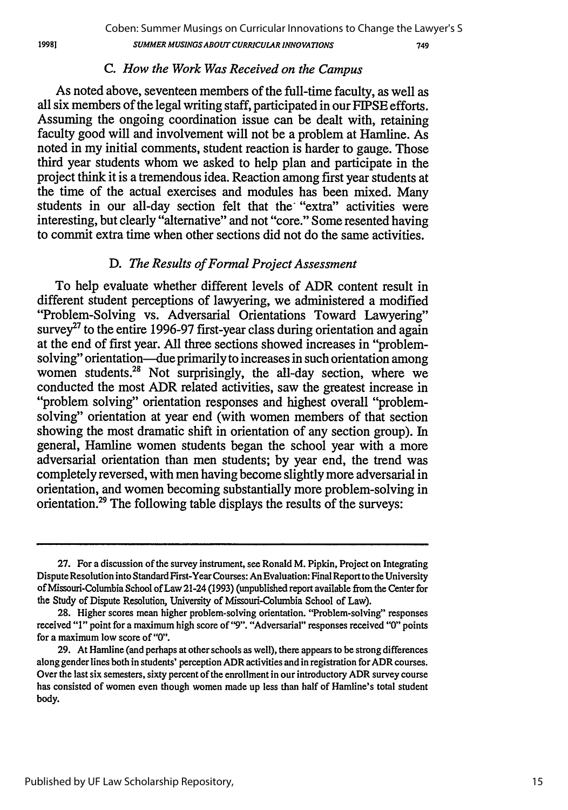#### *C. How the Work Was Received on the Campus*

As noted above, seventeen members of the full-time faculty, as well as all six members of the legal writing staff, participated in our FIPSE efforts. Assuming the ongoing coordination issue can be dealt with, retaining faculty good will and involvement will not be a problem at Hamline. As noted in my initial comments, student reaction is harder to gauge. Those third year students whom we asked to help plan and participate in the project think it is a tremendous idea. Reaction among first year students at the time of the actual exercises and modules has been mixed. Many students in our all-day section felt that the "extra" activities were interesting, but clearly "alternative" and not "core." Some resented having to commit extra time when other sections did not do the same activities.

# D. *The Results of Formal Project Assessment*

To help evaluate whether different levels of ADR content result in different student perceptions of lawyering, we administered a modified "Problem-Solving vs. Adversarial Orientations Toward Lawyering" survey<sup>27</sup> to the entire 1996-97 first-year class during orientation and again at the end of first year. All three sections showed increases in "problemsolving" orientation-due primarily to increases in such orientation among women students.<sup>28</sup> Not surprisingly, the all-day section, where we conducted the most ADR related activities, saw the greatest increase in "problem solving" orientation responses and highest overall "problemsolving" orientation at year end (with women members of that section showing the most dramatic shift in orientation of any section group). In general, Hamline women students began the school year with a more adversarial orientation than men students; by year end, the trend was completely reversed, with men having become slightly more adversarial in orientation, and women becoming substantially more problem-solving in orientation.29 The following table displays the results of the surveys:

**<sup>27.</sup>** For a discussion of the survey instrument, see Ronald M. Pipkin, Project on Integrating Dispute Resolution into Standard First-Year Courses: An Evaluation: Final Report to the University of Missouri-Columbia School of Law 21-24 (1993) (unpublished report available from the Center for the Study of Dispute Resolution, University of Missouri-Columbia School of Law).

**<sup>28.</sup>** Higher scores mean higher problem-solving orientation. "Problem-solving" responses received "1" point for a maximum high score *of"9".* "Adversarial" responses received "0" points for a maximum low score of "0".

**<sup>29.</sup>** At Hamline (and perhaps at other schools as well), there appears to be strong differences along gender lines both in students' perception ADR activities and in registration for ADR courses. Over the last six semesters, sixty percent of the enrollment in our introductory ADR survey course has consisted of women even though women made up less than half of Hamline's total student body.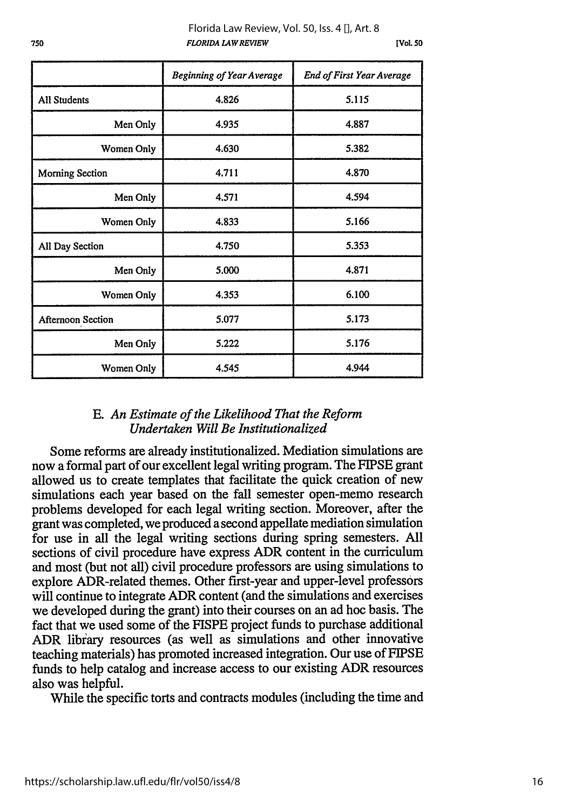**[Vol. 50**

|                        | <b>Beginning of Year Average</b> | End of First Year Average |
|------------------------|----------------------------------|---------------------------|
| <b>All Students</b>    | 4.826                            | 5.115                     |
| Men Only               | 4.935                            | 4.887                     |
| Women Only             | 4.630                            | 5.382                     |
| <b>Morning Section</b> | 4.711                            | 4.870                     |
| Men Only               | 4.571                            | 4.594                     |
| Women Only             | 4.833                            | 5.166                     |
| All Day Section        | 4.750                            | 5.353                     |
| Men Only               | 5.000                            | 4.871                     |
| Women Only             | 4.353                            | 6.100                     |
| Afternoon Section      | 5.077                            | 5.173                     |
| Men Only               | 5.222                            | 5.176                     |
| Women Only             | 4.545                            | 4.944                     |

# E. *An Estimate of the Likelihood That the Reform Undertaken Will Be Institutionalized*

Some reforms are already institutionalized. Mediation simulations are now a formal part of our excellent legal writing program. The FIPSE grant allowed us to create templates that facilitate the quick creation of new simulations each year based on the fall semester open-memo research problems developed for each legal writing section. Moreover, after the grant was completed, we produced a second appellate mediation simulation for use in all the legal writing sections during spring semesters. All sections of civil procedure have express ADR content in the curriculum and most (but not all) civil procedure professors are using simulations to explore ADR-related themes. Other first-year and upper-level professors will continue to integrate ADR content (and the simulations and exercises we developed during the grant) into their courses on an ad hoc basis. The fact that we used some of the FISPE project funds to purchase additional ADR library resources (as well as simulations and other innovative teaching materials) has promoted increased integration. Our use of FIPSE funds to help catalog and increase access to our existing ADR resources also was helpful.

While the specific torts and contracts modules (including the time and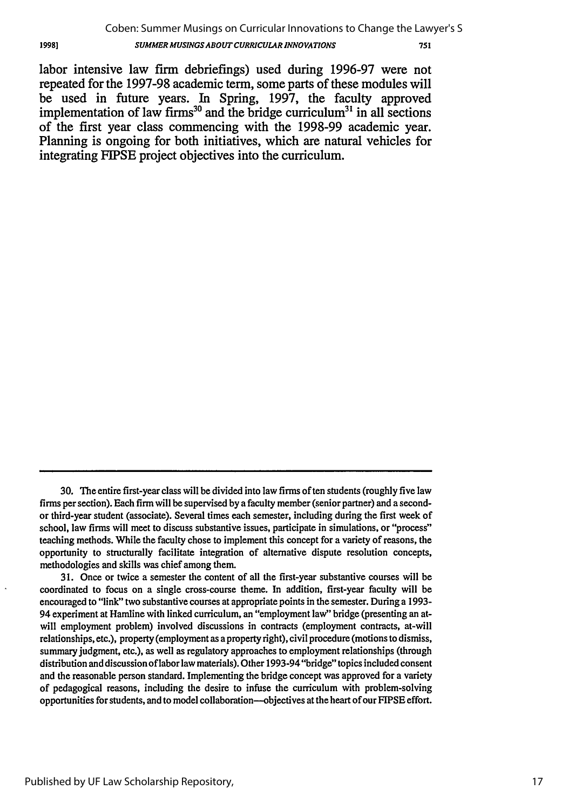labor intensive law firm debriefings) used during 1996-97 were not repeated for the 1997-98 academic term, some parts of these modules will be used in future years. In Spring, 1997, the faculty approved implementation of law firms<sup>30</sup> and the bridge curriculum<sup>31</sup> in all sections of the first year class commencing with the 1998-99 academic year. Planning is ongoing for both initiatives, which are natural vehicles for integrating FIPSE project objectives into the curriculum.

31. Once or twice a semester the content of all the first-year substantive courses will be coordinated to focus on a single cross-course theme. In addition, first-year faculty will be encouraged to "link" two substantive courses at appropriate points in the semester. During a 1993- 94 experiment at Hamline with linked curriculum, an "employment law" bridge (presenting an atwill employment problem) involved discussions in contracts (employment contracts, at-will relationships, etc.), property (employment as a property right), civil procedure (motions to dismiss, summary judgment, etc.), as well as regulatory approaches to employment relationships (through distribution and discussion of labor law materials). Other 1993-94 "bridge" topics included consent and the reasonable person standard. Implementing the bridge concept was approved for a variety of pedagogical reasons, including the desire to infuse the curriculum with problem-solving opportunities for students, and to model collaboration--objectives at the heart of our FIPSE effort.

<sup>30.</sup> The entire first-year class will be divided into law firms often students (roughly five law firms per section). Each firm will be supervised **by** a faculty member (senior partner) and a secondor third-year student (associate). Several times each semester, including during the first week of school, law firms will meet to discuss substantive issues, participate in simulations, or "process" teaching methods. While the faculty chose to implement this concept for a variety of reasons, the opportunity to structurally facilitate integration of alternative dispute resolution concepts, methodologies and skills was chief among them.